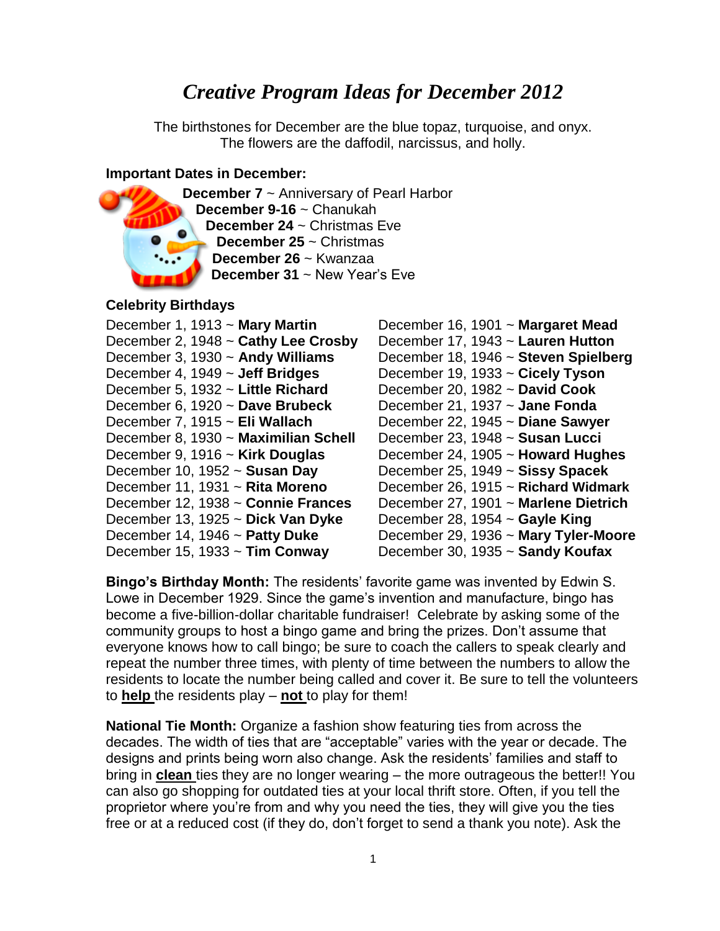# *Creative Program Ideas for December 2012*

The birthstones for December are the blue topaz, turquoise, and onyx. The flowers are the daffodil, narcissus, and holly.

#### **Important Dates in December:**



**December 7** ~ Anniversary of Pearl Harbor **December 9-16** ~ Chanukah **December 24** ~ Christmas Eve **December 25** ~ Christmas **December 26** ~ Kwanzaa **December 31** ~ New Year's Eve

### **Celebrity Birthdays**

| December 1, 1913 ~ Mary Martin       | December 16, 1901 ~ Margaret Mead      |
|--------------------------------------|----------------------------------------|
| December 2, 1948 ~ Cathy Lee Crosby  | December 17, 1943 ~ Lauren Hutton      |
| December 3, 1930 ~ Andy Williams     | December 18, 1946 ~ Steven Spielberg   |
| December 4, 1949 ~ Jeff Bridges      | December 19, 1933 $\sim$ Cicely Tyson  |
| December 5, 1932 ~ Little Richard    | December 20, 1982 $\sim$ David Cook    |
| December 6, 1920 ~ Dave Brubeck      | December 21, 1937 ~ Jane Fonda         |
| December 7, 1915 ~ Eli Wallach       | December 22, 1945 ~ Diane Sawyer       |
| December 8, 1930 ~ Maximilian Schell | December 23, 1948 ~ Susan Lucci        |
| December 9, 1916 ~ Kirk Douglas      | December 24, 1905 $\sim$ Howard Hughes |
| December 10, 1952 ~ Susan Day        | December 25, 1949 ~ Sissy Spacek       |
| December 11, 1931 ~ Rita Moreno      | December 26, 1915 ~ Richard Widmark    |
| December 12, 1938 ~ Connie Frances   | December 27, 1901 ~ Marlene Dietrich   |
| December 13, 1925 ~ Dick Van Dyke    | December 28, 1954 $\sim$ Gayle King    |
| December 14, 1946 $\sim$ Patty Duke  | December 29, 1936 ~ Mary Tyler-Moore   |
| December 15, 1933 $\sim$ Tim Conway  | December 30, 1935 $\sim$ Sandy Koufax  |
|                                      |                                        |

**Bingo's Birthday Month:** The residents' favorite game was invented by Edwin S. Lowe in December 1929. Since the game's invention and manufacture, bingo has become a five-billion-dollar charitable fundraiser! Celebrate by asking some of the community groups to host a bingo game and bring the prizes. Don't assume that everyone knows how to call bingo; be sure to coach the callers to speak clearly and repeat the number three times, with plenty of time between the numbers to allow the residents to locate the number being called and cover it. Be sure to tell the volunteers to **help** the residents play – **not** to play for them!

**National Tie Month:** Organize a fashion show featuring ties from across the decades. The width of ties that are "acceptable" varies with the year or decade. The designs and prints being worn also change. Ask the residents' families and staff to bring in **clean** ties they are no longer wearing – the more outrageous the better!! You can also go shopping for outdated ties at your local thrift store. Often, if you tell the proprietor where you're from and why you need the ties, they will give you the ties free or at a reduced cost (if they do, don't forget to send a thank you note). Ask the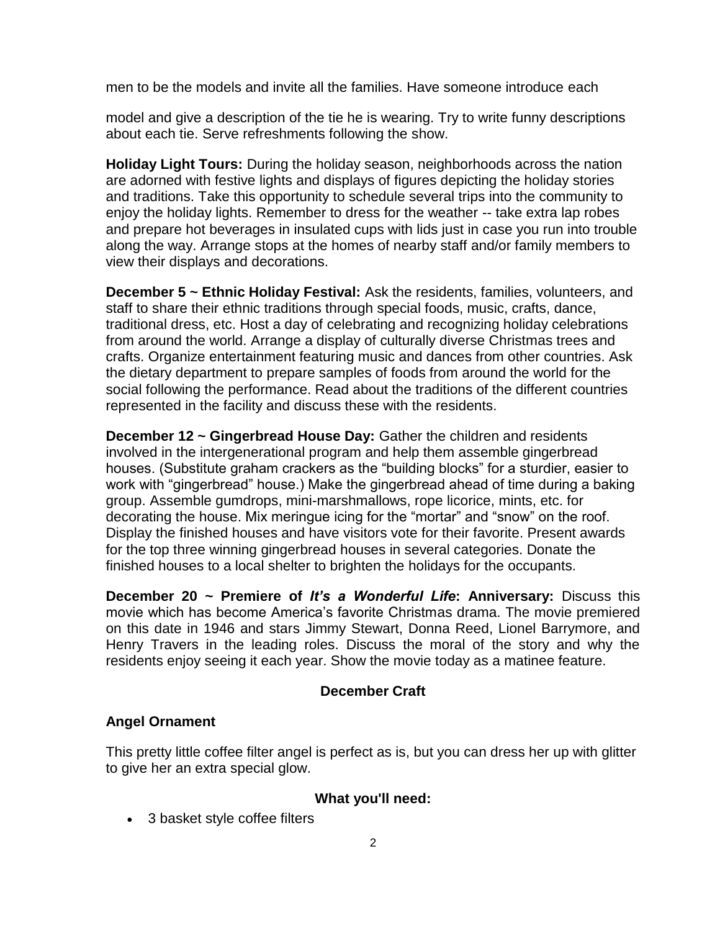men to be the models and invite all the families. Have someone introduce each

model and give a description of the tie he is wearing. Try to write funny descriptions about each tie. Serve refreshments following the show.

**Holiday Light Tours:** During the holiday season, neighborhoods across the nation are adorned with festive lights and displays of figures depicting the holiday stories and traditions. Take this opportunity to schedule several trips into the community to enjoy the holiday lights. Remember to dress for the weather -- take extra lap robes and prepare hot beverages in insulated cups with lids just in case you run into trouble along the way. Arrange stops at the homes of nearby staff and/or family members to view their displays and decorations.

**December 5 ~ Ethnic Holiday Festival:** Ask the residents, families, volunteers, and staff to share their ethnic traditions through special foods, music, crafts, dance, traditional dress, etc. Host a day of celebrating and recognizing holiday celebrations from around the world. Arrange a display of culturally diverse Christmas trees and crafts. Organize entertainment featuring music and dances from other countries. Ask the dietary department to prepare samples of foods from around the world for the social following the performance. Read about the traditions of the different countries represented in the facility and discuss these with the residents.

**December 12 ~ Gingerbread House Day:** Gather the children and residents involved in the intergenerational program and help them assemble gingerbread houses. (Substitute graham crackers as the "building blocks" for a sturdier, easier to work with "gingerbread" house.) Make the gingerbread ahead of time during a baking group. Assemble gumdrops, mini-marshmallows, rope licorice, mints, etc. for decorating the house. Mix meringue icing for the "mortar" and "snow" on the roof. Display the finished houses and have visitors vote for their favorite. Present awards for the top three winning gingerbread houses in several categories. Donate the finished houses to a local shelter to brighten the holidays for the occupants.

**December 20 ~ Premiere of** *It's a Wonderful Life***: Anniversary:** Discuss this movie which has become America's favorite Christmas drama. The movie premiered on this date in 1946 and stars Jimmy Stewart, Donna Reed, Lionel Barrymore, and Henry Travers in the leading roles. Discuss the moral of the story and why the residents enjoy seeing it each year. Show the movie today as a matinee feature.

### **December Craft**

### **Angel Ornament**

This pretty little coffee filter angel is perfect as is, but you can dress her up with glitter to give her an extra special glow.

### **What you'll need:**

• 3 basket style coffee filters